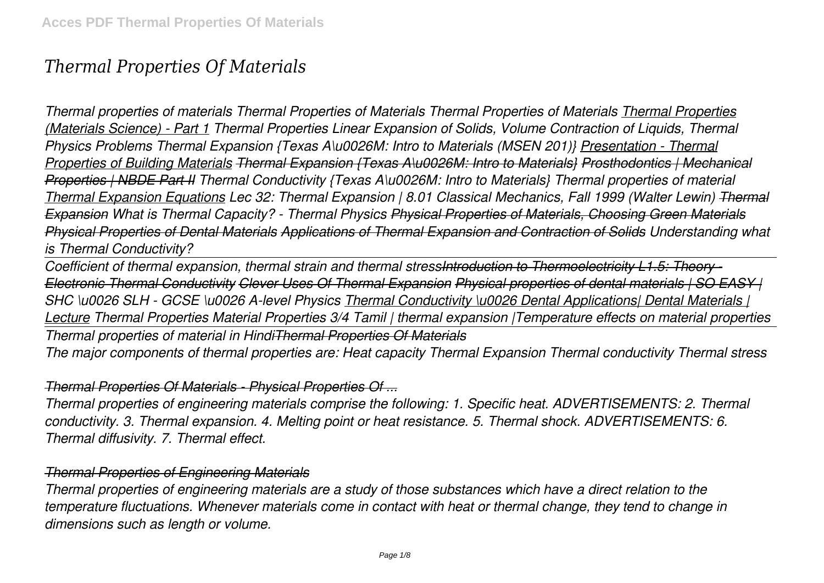# *Thermal Properties Of Materials*

*Thermal properties of materials Thermal Properties of Materials Thermal Properties of Materials Thermal Properties (Materials Science) - Part 1 Thermal Properties Linear Expansion of Solids, Volume Contraction of Liquids, Thermal Physics Problems Thermal Expansion {Texas A\u0026M: Intro to Materials (MSEN 201)} Presentation - Thermal Properties of Building Materials Thermal Expansion {Texas A\u0026M: Intro to Materials} Prosthodontics | Mechanical Properties | NBDE Part II Thermal Conductivity {Texas A\u0026M: Intro to Materials} Thermal properties of material Thermal Expansion Equations Lec 32: Thermal Expansion | 8.01 Classical Mechanics, Fall 1999 (Walter Lewin) Thermal Expansion What is Thermal Capacity? - Thermal Physics Physical Properties of Materials, Choosing Green Materials Physical Properties of Dental Materials Applications of Thermal Expansion and Contraction of Solids Understanding what is Thermal Conductivity?* 

*Coefficient of thermal expansion, thermal strain and thermal stressIntroduction to Thermoelectricity L1.5: Theory - Electronic Thermal Conductivity Clever Uses Of Thermal Expansion Physical properties of dental materials | SO EASY | SHC \u0026 SLH - GCSE \u0026 A-level Physics Thermal Conductivity \u0026 Dental Applications| Dental Materials | Lecture Thermal Properties Material Properties 3/4 Tamil | thermal expansion |Temperature effects on material properties Thermal properties of material in HindiThermal Properties Of Materials The major components of thermal properties are: Heat capacity Thermal Expansion Thermal conductivity Thermal stress*

#### *Thermal Properties Of Materials - Physical Properties Of ...*

*Thermal properties of engineering materials comprise the following: 1. Specific heat. ADVERTISEMENTS: 2. Thermal conductivity. 3. Thermal expansion. 4. Melting point or heat resistance. 5. Thermal shock. ADVERTISEMENTS: 6. Thermal diffusivity. 7. Thermal effect.*

#### *Thermal Properties of Engineering Materials*

*Thermal properties of engineering materials are a study of those substances which have a direct relation to the temperature fluctuations. Whenever materials come in contact with heat or thermal change, they tend to change in dimensions such as length or volume.*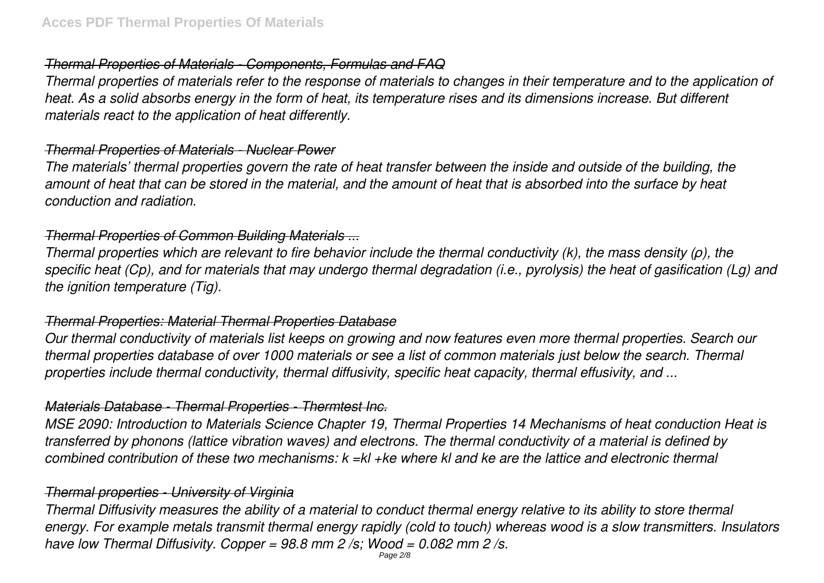#### *Thermal Properties of Materials - Components, Formulas and FAQ*

*Thermal properties of materials refer to the response of materials to changes in their temperature and to the application of heat. As a solid absorbs energy in the form of heat, its temperature rises and its dimensions increase. But different materials react to the application of heat differently.*

#### *Thermal Properties of Materials - Nuclear Power*

*The materials' thermal properties govern the rate of heat transfer between the inside and outside of the building, the amount of heat that can be stored in the material, and the amount of heat that is absorbed into the surface by heat conduction and radiation.*

#### *Thermal Properties of Common Building Materials ...*

*Thermal properties which are relevant to fire behavior include the thermal conductivity (k), the mass density (ρ), the specific heat (Cp), and for materials that may undergo thermal degradation (i.e., pyrolysis) the heat of gasification (Lg) and the ignition temperature (Tig).*

# *Thermal Properties: Material Thermal Properties Database*

*Our thermal conductivity of materials list keeps on growing and now features even more thermal properties. Search our thermal properties database of over 1000 materials or see a list of common materials just below the search. Thermal properties include thermal conductivity, thermal diffusivity, specific heat capacity, thermal effusivity, and ...*

#### *Materials Database - Thermal Properties - Thermtest Inc.*

*MSE 2090: Introduction to Materials Science Chapter 19, Thermal Properties 14 Mechanisms of heat conduction Heat is transferred by phonons (lattice vibration waves) and electrons. The thermal conductivity of a material is defined by combined contribution of these two mechanisms: k =kl +ke where kl and ke are the lattice and electronic thermal*

# *Thermal properties - University of Virginia*

*Thermal Diffusivity measures the ability of a material to conduct thermal energy relative to its ability to store thermal energy. For example metals transmit thermal energy rapidly (cold to touch) whereas wood is a slow transmitters. Insulators have low Thermal Diffusivity. Copper = 98.8 mm 2 /s; Wood = 0.082 mm 2 /s.*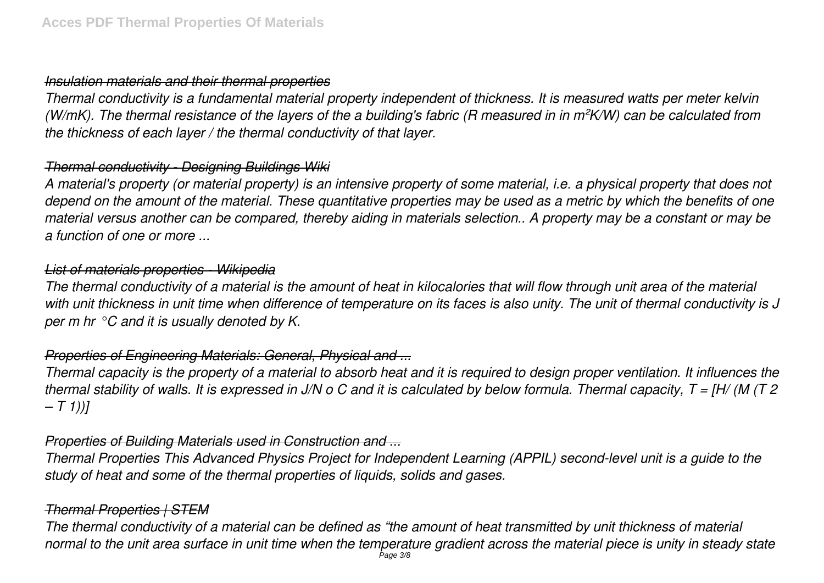#### *Insulation materials and their thermal properties*

*Thermal conductivity is a fundamental material property independent of thickness. It is measured watts per meter kelvin (W/mK). The thermal resistance of the layers of the a building's fabric (R measured in in m²K/W) can be calculated from the thickness of each layer / the thermal conductivity of that layer.*

# *Thermal conductivity - Designing Buildings Wiki*

*A material's property (or material property) is an intensive property of some material, i.e. a physical property that does not depend on the amount of the material. These quantitative properties may be used as a metric by which the benefits of one material versus another can be compared, thereby aiding in materials selection.. A property may be a constant or may be a function of one or more ...*

# *List of materials properties - Wikipedia*

*The thermal conductivity of a material is the amount of heat in kilocalories that will flow through unit area of the material with unit thickness in unit time when difference of temperature on its faces is also unity. The unit of thermal conductivity is J per m hr °C and it is usually denoted by K.*

# *Properties of Engineering Materials: General, Physical and ...*

*Thermal capacity is the property of a material to absorb heat and it is required to design proper ventilation. It influences the thermal stability of walls. It is expressed in J/N o C and it is calculated by below formula. Thermal capacity, T = [H/ (M (T 2 – T 1))]*

# *Properties of Building Materials used in Construction and ...*

*Thermal Properties This Advanced Physics Project for Independent Learning (APPIL) second-level unit is a guide to the study of heat and some of the thermal properties of liquids, solids and gases.*

# *Thermal Properties | STEM*

*The thermal conductivity of a material can be defined as "the amount of heat transmitted by unit thickness of material normal to the unit area surface in unit time when the temperature gradient across the material piece is unity in steady state* Page 3/8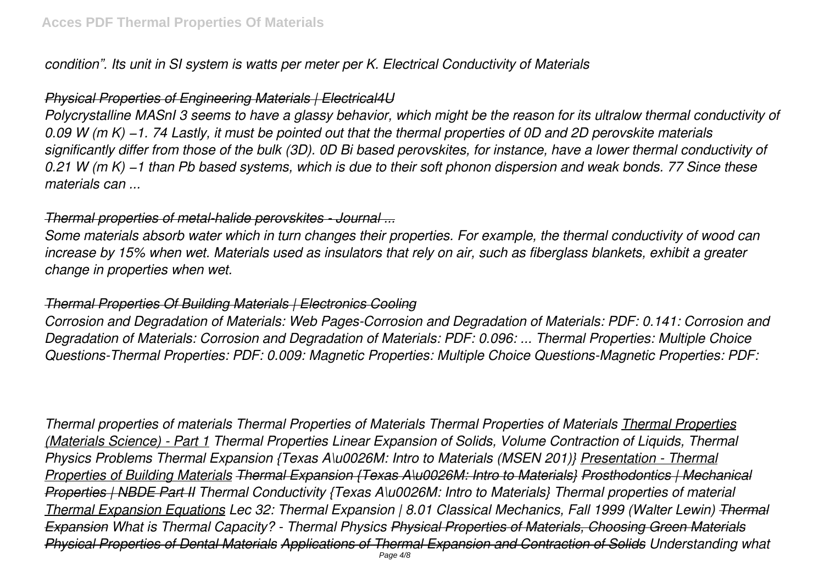*condition". Its unit in SI system is watts per meter per K. Electrical Conductivity of Materials*

# *Physical Properties of Engineering Materials | Electrical4U*

*Polycrystalline MASnI 3 seems to have a glassy behavior, which might be the reason for its ultralow thermal conductivity of 0.09 W (m K) −1. 74 Lastly, it must be pointed out that the thermal properties of 0D and 2D perovskite materials significantly differ from those of the bulk (3D). 0D Bi based perovskites, for instance, have a lower thermal conductivity of 0.21 W (m K) −1 than Pb based systems, which is due to their soft phonon dispersion and weak bonds. 77 Since these materials can ...*

# *Thermal properties of metal-halide perovskites - Journal ...*

*Some materials absorb water which in turn changes their properties. For example, the thermal conductivity of wood can increase by 15% when wet. Materials used as insulators that rely on air, such as fiberglass blankets, exhibit a greater change in properties when wet.*

# *Thermal Properties Of Building Materials | Electronics Cooling*

*Corrosion and Degradation of Materials: Web Pages-Corrosion and Degradation of Materials: PDF: 0.141: Corrosion and Degradation of Materials: Corrosion and Degradation of Materials: PDF: 0.096: ... Thermal Properties: Multiple Choice Questions-Thermal Properties: PDF: 0.009: Magnetic Properties: Multiple Choice Questions-Magnetic Properties: PDF:*

*Thermal properties of materials Thermal Properties of Materials Thermal Properties of Materials Thermal Properties (Materials Science) - Part 1 Thermal Properties Linear Expansion of Solids, Volume Contraction of Liquids, Thermal Physics Problems Thermal Expansion {Texas A\u0026M: Intro to Materials (MSEN 201)} Presentation - Thermal Properties of Building Materials Thermal Expansion {Texas A\u0026M: Intro to Materials} Prosthodontics | Mechanical Properties | NBDE Part II Thermal Conductivity {Texas A\u0026M: Intro to Materials} Thermal properties of material Thermal Expansion Equations Lec 32: Thermal Expansion | 8.01 Classical Mechanics, Fall 1999 (Walter Lewin) Thermal Expansion What is Thermal Capacity? - Thermal Physics Physical Properties of Materials, Choosing Green Materials Physical Properties of Dental Materials Applications of Thermal Expansion and Contraction of Solids Understanding what*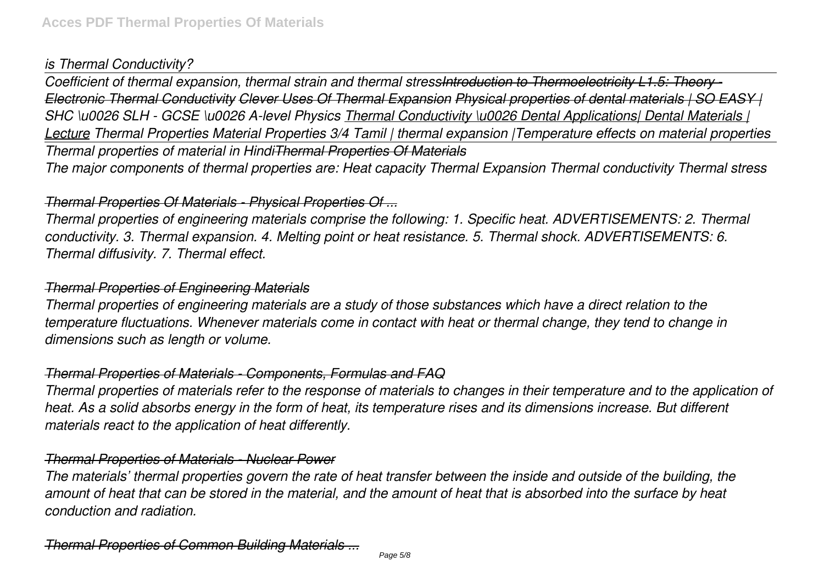# *is Thermal Conductivity?*

*Coefficient of thermal expansion, thermal strain and thermal stressIntroduction to Thermoelectricity L1.5: Theory - Electronic Thermal Conductivity Clever Uses Of Thermal Expansion Physical properties of dental materials | SO EASY | SHC \u0026 SLH - GCSE \u0026 A-level Physics Thermal Conductivity \u0026 Dental Applications| Dental Materials | Lecture Thermal Properties Material Properties 3/4 Tamil | thermal expansion |Temperature effects on material properties Thermal properties of material in HindiThermal Properties Of Materials The major components of thermal properties are: Heat capacity Thermal Expansion Thermal conductivity Thermal stress*

#### *Thermal Properties Of Materials - Physical Properties Of ...*

*Thermal properties of engineering materials comprise the following: 1. Specific heat. ADVERTISEMENTS: 2. Thermal conductivity. 3. Thermal expansion. 4. Melting point or heat resistance. 5. Thermal shock. ADVERTISEMENTS: 6. Thermal diffusivity. 7. Thermal effect.*

# *Thermal Properties of Engineering Materials*

*Thermal properties of engineering materials are a study of those substances which have a direct relation to the temperature fluctuations. Whenever materials come in contact with heat or thermal change, they tend to change in dimensions such as length or volume.*

# *Thermal Properties of Materials - Components, Formulas and FAQ*

*Thermal properties of materials refer to the response of materials to changes in their temperature and to the application of heat. As a solid absorbs energy in the form of heat, its temperature rises and its dimensions increase. But different materials react to the application of heat differently.*

# *Thermal Properties of Materials - Nuclear Power*

*The materials' thermal properties govern the rate of heat transfer between the inside and outside of the building, the amount of heat that can be stored in the material, and the amount of heat that is absorbed into the surface by heat conduction and radiation.*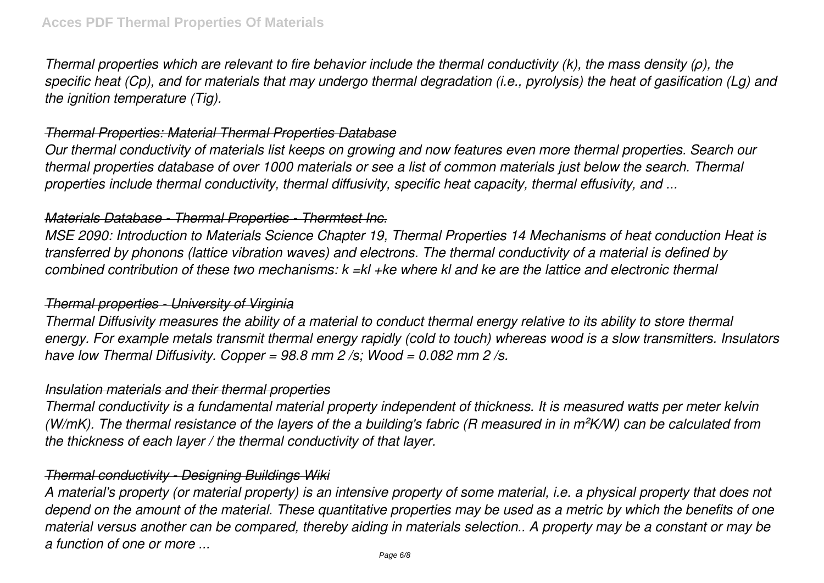*Thermal properties which are relevant to fire behavior include the thermal conductivity (k), the mass density (ρ), the specific heat (Cp), and for materials that may undergo thermal degradation (i.e., pyrolysis) the heat of gasification (Lg) and the ignition temperature (Tig).*

#### *Thermal Properties: Material Thermal Properties Database*

*Our thermal conductivity of materials list keeps on growing and now features even more thermal properties. Search our thermal properties database of over 1000 materials or see a list of common materials just below the search. Thermal properties include thermal conductivity, thermal diffusivity, specific heat capacity, thermal effusivity, and ...*

#### *Materials Database - Thermal Properties - Thermtest Inc.*

*MSE 2090: Introduction to Materials Science Chapter 19, Thermal Properties 14 Mechanisms of heat conduction Heat is transferred by phonons (lattice vibration waves) and electrons. The thermal conductivity of a material is defined by combined contribution of these two mechanisms: k =kl +ke where kl and ke are the lattice and electronic thermal*

# *Thermal properties - University of Virginia*

*Thermal Diffusivity measures the ability of a material to conduct thermal energy relative to its ability to store thermal energy. For example metals transmit thermal energy rapidly (cold to touch) whereas wood is a slow transmitters. Insulators have low Thermal Diffusivity. Copper = 98.8 mm 2 /s; Wood = 0.082 mm 2 /s.*

#### *Insulation materials and their thermal properties*

*Thermal conductivity is a fundamental material property independent of thickness. It is measured watts per meter kelvin (W/mK). The thermal resistance of the layers of the a building's fabric (R measured in in m²K/W) can be calculated from the thickness of each layer / the thermal conductivity of that layer.*

# *Thermal conductivity - Designing Buildings Wiki*

*A material's property (or material property) is an intensive property of some material, i.e. a physical property that does not depend on the amount of the material. These quantitative properties may be used as a metric by which the benefits of one material versus another can be compared, thereby aiding in materials selection.. A property may be a constant or may be a function of one or more ...*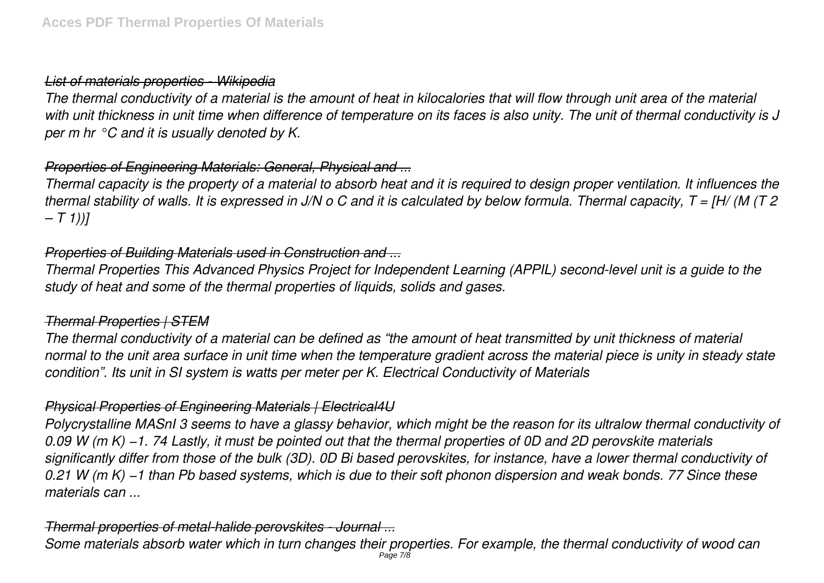# *List of materials properties - Wikipedia*

*The thermal conductivity of a material is the amount of heat in kilocalories that will flow through unit area of the material with unit thickness in unit time when difference of temperature on its faces is also unity. The unit of thermal conductivity is J per m hr °C and it is usually denoted by K.*

# *Properties of Engineering Materials: General, Physical and ...*

*Thermal capacity is the property of a material to absorb heat and it is required to design proper ventilation. It influences the thermal stability of walls. It is expressed in J/N o C and it is calculated by below formula. Thermal capacity, T = [H/ (M (T 2 – T 1))]*

# *Properties of Building Materials used in Construction and ...*

*Thermal Properties This Advanced Physics Project for Independent Learning (APPIL) second-level unit is a guide to the study of heat and some of the thermal properties of liquids, solids and gases.*

# *Thermal Properties | STEM*

*The thermal conductivity of a material can be defined as "the amount of heat transmitted by unit thickness of material normal to the unit area surface in unit time when the temperature gradient across the material piece is unity in steady state condition". Its unit in SI system is watts per meter per K. Electrical Conductivity of Materials*

# *Physical Properties of Engineering Materials | Electrical4U*

*Polycrystalline MASnI 3 seems to have a glassy behavior, which might be the reason for its ultralow thermal conductivity of 0.09 W (m K) −1. 74 Lastly, it must be pointed out that the thermal properties of 0D and 2D perovskite materials significantly differ from those of the bulk (3D). 0D Bi based perovskites, for instance, have a lower thermal conductivity of 0.21 W (m K) −1 than Pb based systems, which is due to their soft phonon dispersion and weak bonds. 77 Since these materials can ...*

# *Thermal properties of metal-halide perovskites - Journal ...*

*Some materials absorb water which in turn changes their properties. For example, the thermal conductivity of wood can* Page 7/8